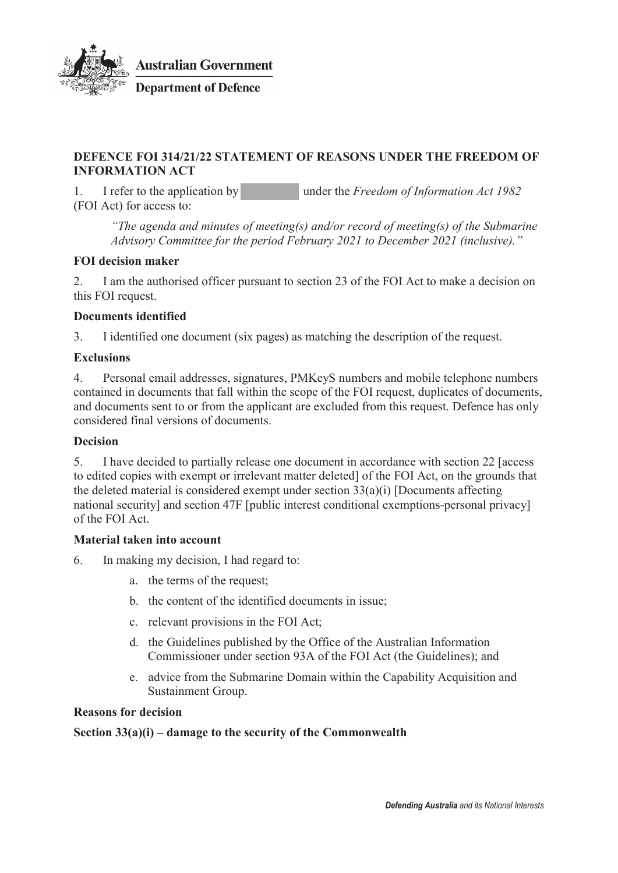

#### **DEFENCE FOI 314/21/22 STATEMENT OF REASONS UNDER THE FREEDOM OF INFORMATION ACT**

1. I refer to the application by under the *Freedom of Information Act 1982* (FOI Act) for access to:

*"The agenda and minutes of meeting(s) and/or record of meeting(s) of the Submarine Advisory Committee for the period February 2021 to December 2021 (inclusive)."*

## **FOI decision maker**

2. I am the authorised officer pursuant to section 23 of the FOI Act to make a decision on this FOI request.

## **Documents identified**

3. I identified one document (six pages) as matching the description of the request.

## **Exclusions**

4. Personal email addresses, signatures, PMKeyS numbers and mobile telephone numbers contained in documents that fall within the scope of the FOI request, duplicates of documents, and documents sent to or from the applicant are excluded from this request. Defence has only considered final versions of documents.

#### **Decision**

5. I have decided to partially release one document in accordance with section 22 [access to edited copies with exempt or irrelevant matter deleted] of the FOI Act, on the grounds that the deleted material is considered exempt under section 33(a)(i) [Documents affecting national security] and section 47F [public interest conditional exemptions-personal privacy] of the FOI Act.

#### **Material taken into account**

6. In making my decision, I had regard to:

- a. the terms of the request;
- b. the content of the identified documents in issue;
- c. relevant provisions in the FOI Act;
- d. the Guidelines published by the Office of the Australian Information Commissioner under section 93A of the FOI Act (the Guidelines); and
- e. advice from the Submarine Domain within the Capability Acquisition and Sustainment Group.

#### **Reasons for decision**

#### **Section 33(a)(i) – damage to the security of the Commonwealth**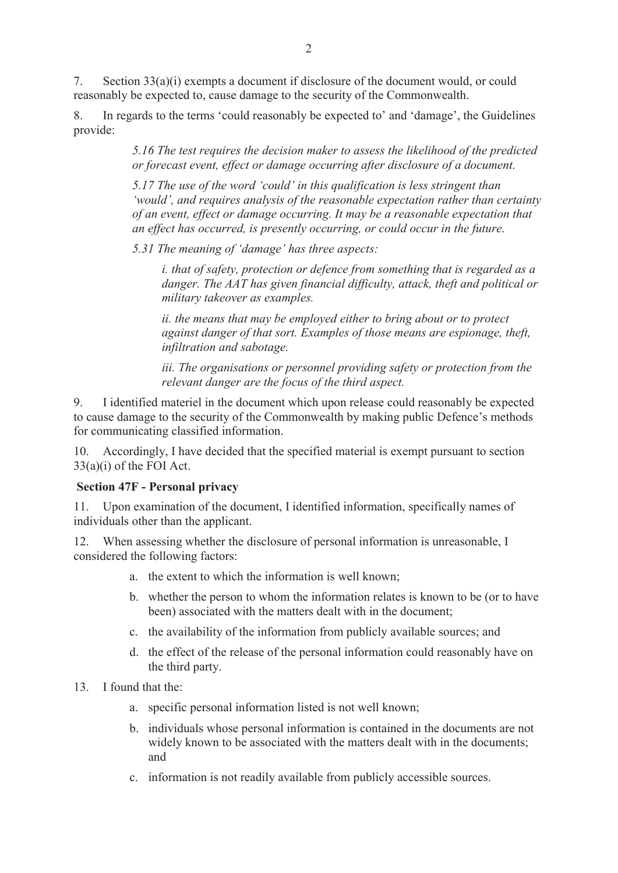7. Section 33(a)(i) exempts a document if disclosure of the document would, or could reasonably be expected to, cause damage to the security of the Commonwealth.

8. In regards to the terms 'could reasonably be expected to' and 'damage', the Guidelines provide:

> *5.16 The test requires the decision maker to assess the likelihood of the predicted or forecast event, effect or damage occurring after disclosure of a document.*

*5.17 The use of the word 'could' in this qualification is less stringent than 'would', and requires analysis of the reasonable expectation rather than certainty of an event, effect or damage occurring. It may be a reasonable expectation that an effect has occurred, is presently occurring, or could occur in the future.* 

*5.31 The meaning of 'damage' has three aspects:* 

*i. that of safety, protection or defence from something that is regarded as a danger. The AAT has given financial difficulty, attack, theft and political or military takeover as examples.* 

*ii. the means that may be employed either to bring about or to protect against danger of that sort. Examples of those means are espionage, theft, infiltration and sabotage.* 

*iii. The organisations or personnel providing safety or protection from the relevant danger are the focus of the third aspect.* 

9. I identified materiel in the document which upon release could reasonably be expected to cause damage to the security of the Commonwealth by making public Defence's methods for communicating classified information.

10. Accordingly, I have decided that the specified material is exempt pursuant to section 33(a)(i) of the FOI Act.

#### **Section 47F - Personal privacy**

11. Upon examination of the document, I identified information, specifically names of individuals other than the applicant.

12. When assessing whether the disclosure of personal information is unreasonable, I considered the following factors:

- a. the extent to which the information is well known;
- b. whether the person to whom the information relates is known to be (or to have been) associated with the matters dealt with in the document;
- c. the availability of the information from publicly available sources; and
- d. the effect of the release of the personal information could reasonably have on the third party.
- 13. I found that the:
	- a. specific personal information listed is not well known;
	- b. individuals whose personal information is contained in the documents are not widely known to be associated with the matters dealt with in the documents; and
	- c. information is not readily available from publicly accessible sources.